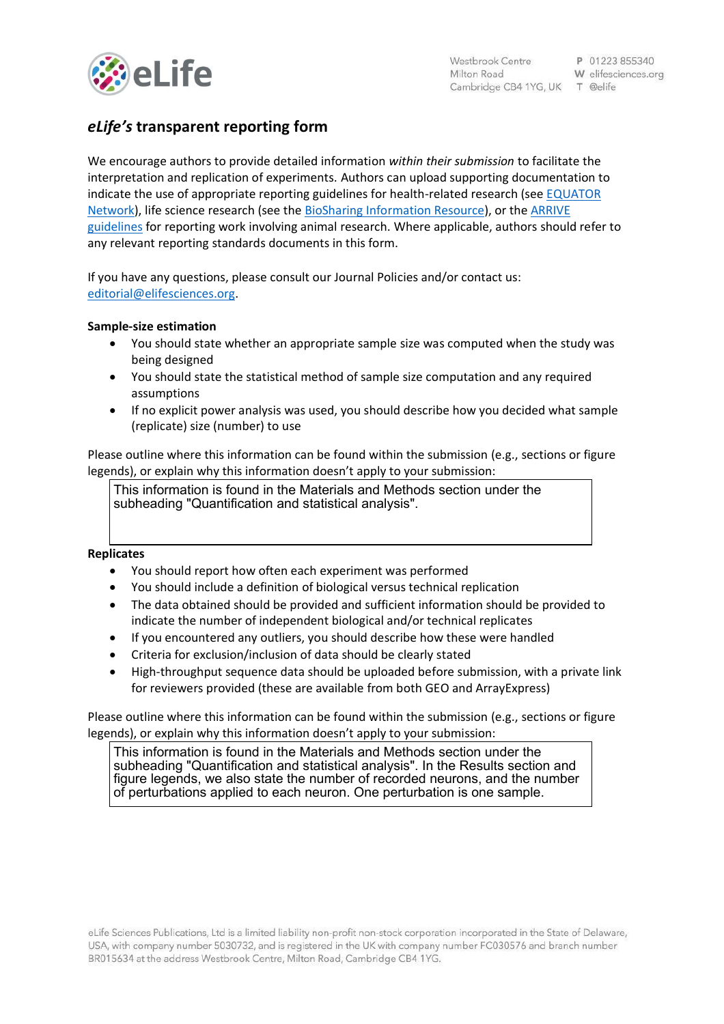

# *eLife's* **transparent reporting form**

We encourage authors to provide detailed information *within their submission* to facilitate the interpretation and replication of experiments. Authors can upload supporting documentation to indicate the use of appropriate reporting guidelines for health-related research (see [EQUATOR](http://www.equator-network.org/)  [Network\)](http://www.equator-network.org/), life science research (see the [BioSharing Information Resource\)](https://biosharing.org/), or the [ARRIVE](http://www.plosbiology.org/article/info:doi/10.1371/journal.pbio.1000412)  [guidelines](http://www.plosbiology.org/article/info:doi/10.1371/journal.pbio.1000412) for reporting work involving animal research. Where applicable, authors should refer to any relevant reporting standards documents in this form.

If you have any questions, please consult our Journal Policies and/or contact us: [editorial@elifesciences.org.](mailto:editorial@elifesciences.org)

# **Sample-size estimation**

- You should state whether an appropriate sample size was computed when the study was being designed
- You should state the statistical method of sample size computation and any required assumptions
- If no explicit power analysis was used, you should describe how you decided what sample (replicate) size (number) to use

Please outline where this information can be found within the submission (e.g., sections or figure legends), or explain why this information doesn't apply to your submission:

This information is found in the Materials and Methods section under the subheading "Quantification and statistical analysis".

#### **Replicates**

- You should report how often each experiment was performed
- You should include a definition of biological versus technical replication
- The data obtained should be provided and sufficient information should be provided to indicate the number of independent biological and/or technical replicates
- If you encountered any outliers, you should describe how these were handled
- Criteria for exclusion/inclusion of data should be clearly stated
- High-throughput sequence data should be uploaded before submission, with a private link for reviewers provided (these are available from both GEO and ArrayExpress)

Please outline where this information can be found within the submission (e.g., sections or figure legends), or explain why this information doesn't apply to your submission:

This information is found in the Materials and Methods section under the subheading "Quantification and statistical analysis". In the Results section and figure legends, we also state the number of recorded neurons, and the number of perturbations applied to each neuron. One perturbation is one sample.

eLife Sciences Publications, Ltd is a limited liability non-profit non-stock corporation incorporated in the State of Delaware, USA, with company number 5030732, and is registered in the UK with company number FC030576 and branch number BR015634 at the address Westbrook Centre, Milton Road, Cambridge CB4 1YG.